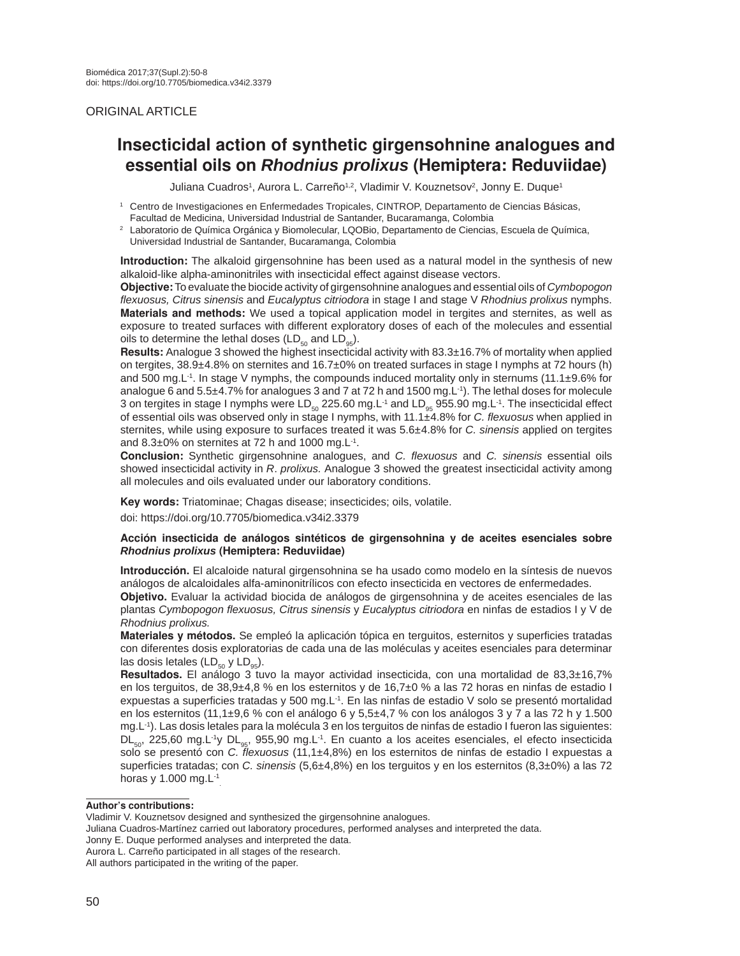# ORIGINAL ARTICLE

# **Insecticidal action of synthetic girgensohnine analogues and essential oils on** *Rhodnius prolixus* **(Hemiptera: Reduviidae)**

Juliana Cuadros<sup>1</sup>, Aurora L. Carreño<sup>1,2</sup>, Vladimir V. Kouznetsov<sup>2</sup>, Jonny E. Duque<sup>1</sup>

Laboratorio de Química Orgánica y Biomolecular, LQOBio, Departamento de Ciencias, Escuela de Química, Universidad Industrial de Santander, Bucaramanga, Colombia

**Introduction:** The alkaloid girgensohnine has been used as a natural model in the synthesis of new alkaloid-like alpha-aminonitriles with insecticidal effect against disease vectors.

**Objective:** To evaluate the biocide activity of girgensohnine analogues and essential oils of *Cymbopogon flexuosus, Citrus sinensis* and *Eucalyptus citriodora* in stage I and stage V *Rhodnius prolixus* nymphs. **Materials and methods:** We used a topical application model in tergites and sternites, as well as exposure to treated surfaces with different exploratory doses of each of the molecules and essential oils to determine the lethal doses (LD $_{50}$  and LD $_{95}$ ).

**Results:** Analogue 3 showed the highest insecticidal activity with 83.3±16.7% of mortality when applied on tergites, 38.9±4.8% on sternites and 16.7±0% on treated surfaces in stage I nymphs at 72 hours (h) and 500 mg.L<sup>-1</sup>. In stage V nymphs, the compounds induced mortality only in sternums (11.1±9.6% for analogue 6 and 5.5±4.7% for analogues 3 and 7 at 72 h and 1500 mg.L<sup>-1</sup>). The lethal doses for molecule 3 on tergites in stage I nymphs were LD<sub>50</sub> 225.60 mg.L<sup>-1</sup> and LD<sub>95</sub> 955.90 mg.L<sup>-1</sup>. The insecticidal effect of essential oils was observed only in stage I nymphs, with 11.1±4.8% for *C. flexuosus* when applied in sternites, while using exposure to surfaces treated it was 5.6±4.8% for *C. sinensis* applied on tergites and  $8.3\pm0\%$  on sternites at 72 h and 1000 mg. L<sup>-1</sup>.

**Conclusion:** Synthetic girgensohnine analogues, and *C. flexuosus* and *C. sinensis* essential oils showed insecticidal activity in *R*. *prolixus.* Analogue 3 showed the greatest insecticidal activity among all molecules and oils evaluated under our laboratory conditions.

**Key words:** Triatominae; Chagas disease; insecticides; oils, volatile.

doi: https://doi.org/10.7705/biomedica.v34i2.3379

#### **Acción insecticida de análogos sintéticos de girgensohnina y de aceites esenciales sobre**  *Rhodnius prolixus* **(Hemiptera: Reduviidae)**

**Introducción.** El alcaloide natural girgensohnina se ha usado como modelo en la síntesis de nuevos análogos de alcaloidales alfa-aminonitrílicos con efecto insecticida en vectores de enfermedades.

**Objetivo.** Evaluar la actividad biocida de análogos de girgensohnina y de aceites esenciales de las plantas *Cymbopogon flexuosus, Citrus sinensis* y *Eucalyptus citriodora* en ninfas de estadios I y V de *Rhodnius prolixus.*

**Materiales y métodos.** Se empleó la aplicación tópica en terguitos, esternitos y superficies tratadas con diferentes dosis exploratorias de cada una de las moléculas y aceites esenciales para determinar las dosis letales (LD $_{50}$  y LD $_{95}$ ).

**Resultados.** El análogo 3 tuvo la mayor actividad insecticida, con una mortalidad de 83,3±16,7% en los terguitos, de 38,9±4,8 % en los esternitos y de 16,7±0 % a las 72 horas en ninfas de estadio I expuestas a superficies tratadas y 500 mg.L-1. En las ninfas de estadio V solo se presentó mortalidad en los esternitos (11,1 $\pm$ 9,6 % con el análogo 6 y 5,5 $\pm$ 4,7 % con los análogos 3 y 7 a las 72 h y 1.500 mg.L-1). Las dosis letales para la molécula 3 en los terguitos de ninfas de estadio I fueron las siguientes: DL<sub>50</sub>, 225,60 mg.L<sup>-1</sup>y DL<sub>95</sub>, 955,90 mg.L<sup>-1</sup>. En cuanto a los aceites esenciales, el efecto insecticida solo se presentó con *C. flexuosus* (11,1±4,8%) en los esternitos de ninfas de estadio I expuestas a superficies tratadas; con *C. sinensis* (5,6±4,8%) en los terguitos y en los esternitos (8,3±0%) a las 72 horas y 1.000 mg.L-1 .

#### **Author's contributions:**

<sup>1</sup>Centro de Investigaciones en Enfermedades Tropicales, CINTROP, Departamento de Ciencias Básicas, Facultad de Medicina, Universidad Industrial de Santander, Bucaramanga, Colombia

Vladimir V. Kouznetsov designed and synthesized the girgensohnine analogues.

Juliana Cuadros-Martínez carried out laboratory procedures, performed analyses and interpreted the data.

Jonny E. Duque performed analyses and interpreted the data.

Aurora L. Carreño participated in all stages of the research.

All authors participated in the writing of the paper.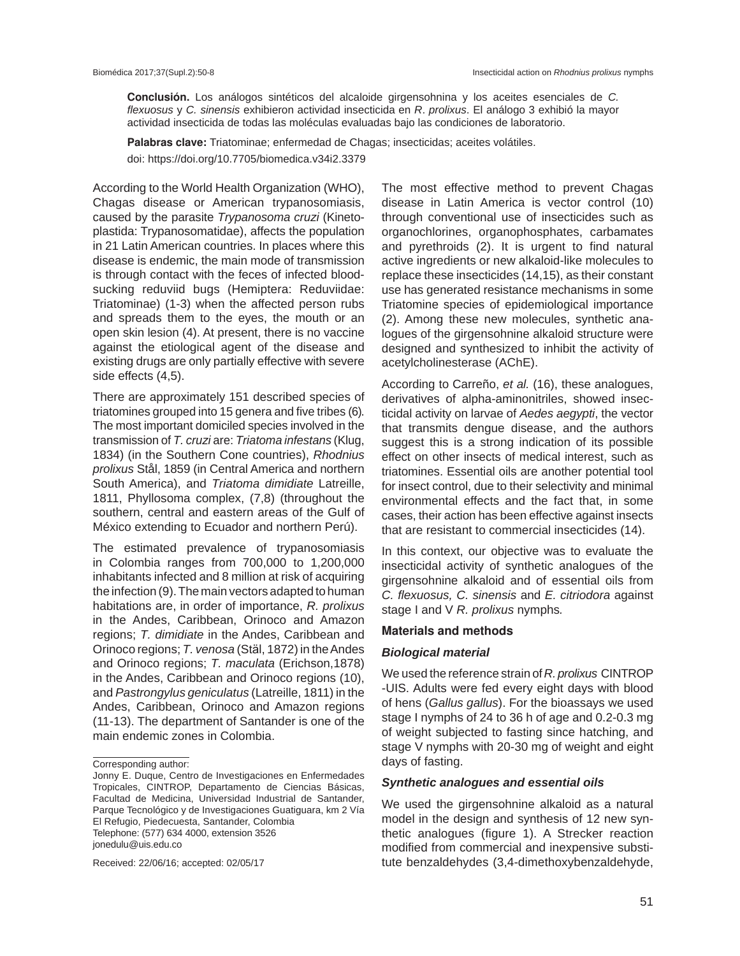**Conclusión.** Los análogos sintéticos del alcaloide girgensohnina y los aceites esenciales de *C. flexuosus* y *C. sinensis* exhibieron actividad insecticida en *R*. *prolixus*. El análogo 3 exhibió la mayor actividad insecticida de todas las moléculas evaluadas bajo las condiciones de laboratorio.

**Palabras clave:** Triatominae; enfermedad de Chagas; insecticidas; aceites volátiles. doi: https://doi.org/10.7705/biomedica.v34i2.3379

According to the World Health Organization (WHO), Chagas disease or American trypanosomiasis, caused by the parasite *Trypanosoma cruzi* (Kinetoplastida: Trypanosomatidae), affects the population in 21 Latin American countries. In places where this disease is endemic, the main mode of transmission is through contact with the feces of infected bloodsucking reduviid bugs (Hemiptera: Reduviidae: Triatominae) (1-3) when the affected person rubs and spreads them to the eyes, the mouth or an open skin lesion (4). At present, there is no vaccine against the etiological agent of the disease and existing drugs are only partially effective with severe side effects (4,5).

There are approximately 151 described species of triatomines grouped into 15 genera and five tribes (6). The most important domiciled species involved in the transmission of *T. cruzi* are: *Triatoma infestans* (Klug, 1834) (in the Southern Cone countries), *Rhodnius prolixus* Stål, 1859 (in Central America and northern South America), and *Triatoma dimidiate* Latreille, 1811, Phyllosoma complex, (7,8) (throughout the southern, central and eastern areas of the Gulf of México extending to Ecuador and northern Perú).

The estimated prevalence of trypanosomiasis in Colombia ranges from 700,000 to 1,200,000 inhabitants infected and 8 million at risk of acquiring the infection (9). The main vectors adapted to human habitations are, in order of importance, *R. prolixus*  in the Andes, Caribbean, Orinoco and Amazon regions; *T. dimidiate* in the Andes, Caribbean and Orinoco regions; *T. venosa* (Stӓl, 1872) in the Andes and Orinoco regions; *T. maculata* (Erichson,1878) in the Andes, Caribbean and Orinoco regions (10), and *Pastrongylus geniculatus* (Latreille, 1811) in the Andes, Caribbean, Orinoco and Amazon regions (11-13). The department of Santander is one of the main endemic zones in Colombia.

Corresponding author:

Received: 22/06/16; accepted: 02/05/17

The most effective method to prevent Chagas disease in Latin America is vector control (10) through conventional use of insecticides such as organochlorines, organophosphates, carbamates and pyrethroids (2). It is urgent to find natural active ingredients or new alkaloid-like molecules to replace these insecticides (14,15), as their constant use has generated resistance mechanisms in some Triatomine species of epidemiological importance (2). Among these new molecules, synthetic analogues of the girgensohnine alkaloid structure were designed and synthesized to inhibit the activity of acetylcholinesterase (AChE).

According to Carreño, *et al.* (16), these analogues, derivatives of alpha-aminonitriles, showed insecticidal activity on larvae of *Aedes aegypti*, the vector that transmits dengue disease, and the authors suggest this is a strong indication of its possible effect on other insects of medical interest, such as triatomines. Essential oils are another potential tool for insect control, due to their selectivity and minimal environmental effects and the fact that, in some cases, their action has been effective against insects that are resistant to commercial insecticides (14).

In this context, our objective was to evaluate the insecticidal activity of synthetic analogues of the girgensohnine alkaloid and of essential oils from *C. flexuosus, C. sinensis* and *E. citriodora* against stage I and V *R. prolixus* nymphs*.*

#### **Materials and methods**

#### *Biological material*

We used the reference strain of *R. prolixus* CINTROP -UIS. Adults were fed every eight days with blood of hens (*Gallus gallus*). For the bioassays we used stage I nymphs of 24 to 36 h of age and 0.2-0.3 mg of weight subjected to fasting since hatching, and stage V nymphs with 20-30 mg of weight and eight days of fasting.

## *Synthetic analogues and essential oils*

We used the girgensohnine alkaloid as a natural model in the design and synthesis of 12 new synthetic analogues (figure 1). A Strecker reaction modified from commercial and inexpensive substitute benzaldehydes (3,4-dimethoxybenzaldehyde,

Jonny E. Duque, Centro de Investigaciones en Enfermedades Tropicales, CINTROP, Departamento de Ciencias Básicas, Facultad de Medicina, Universidad Industrial de Santander, Parque Tecnológico y de Investigaciones Guatiguara, km 2 Vía El Refugio, Piedecuesta, Santander, Colombia Telephone: (577) 634 4000, extension 3526 jonedulu@uis.edu.co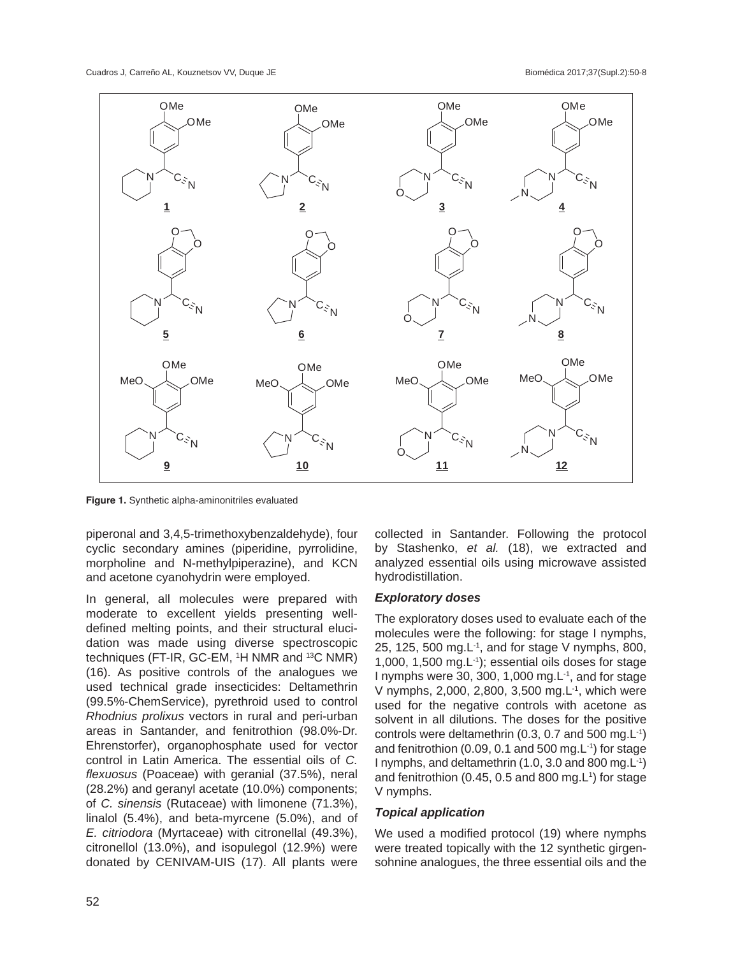

**Figure 1.** Synthetic alpha-aminonitriles evaluated

piperonal and 3,4,5-trimethoxybenzaldehyde), four cyclic secondary amines (piperidine, pyrrolidine, morpholine and N-methylpiperazine), and KCN and acetone cyanohydrin were employed.

In general, all molecules were prepared with moderate to excellent yields presenting welldefined melting points, and their structural elucidation was made using diverse spectroscopic techniques (FT-IR, GC-EM, 1 H NMR and 13C NMR) (16). As positive controls of the analogues we used technical grade insecticides: Deltamethrin (99.5%-ChemService), pyrethroid used to control *Rhodnius prolixus* vectors in rural and peri-urban areas in Santander, and fenitrothion (98.0%-Dr. Ehrenstorfer), organophosphate used for vector control in Latin America. The essential oils of *C. flexuosus* (Poaceae) with geranial (37.5%), neral (28.2%) and geranyl acetate (10.0%) components; of *C. sinensis* (Rutaceae) with limonene (71.3%), linalol (5.4%), and beta-myrcene (5.0%), and of *E. citriodora* (Myrtaceae) with citronellal (49.3%), citronellol (13.0%), and isopulegol (12.9%) were donated by CENIVAM-UIS (17). All plants were

collected in Santander. Following the protocol by Stashenko, *et al.* (18), we extracted and analyzed essential oils using microwave assisted hydrodistillation.

# *Exploratory doses*

The exploratory doses used to evaluate each of the molecules were the following: for stage I nymphs, 25, 125, 500 mg.L-1, and for stage V nymphs, 800, 1,000, 1,500 mg.L-1); essential oils doses for stage I nymphs were 30, 300, 1,000 mg. $L^{-1}$ , and for stage V nymphs, 2,000, 2,800, 3,500 mg. L<sup>-1</sup>, which were used for the negative controls with acetone as solvent in all dilutions. The doses for the positive controls were deltamethrin (0.3, 0.7 and 500 mg.L-1) and fenitrothion (0.09, 0.1 and 500 mg. $L^{-1}$ ) for stage I nymphs, and deltamethrin (1.0, 3.0 and 800 mg.L-1) and fenitrothion (0.45, 0.5 and 800 mg. $L^1$ ) for stage V nymphs.

# *Topical application*

We used a modified protocol (19) where nymphs were treated topically with the 12 synthetic girgensohnine analogues, the three essential oils and the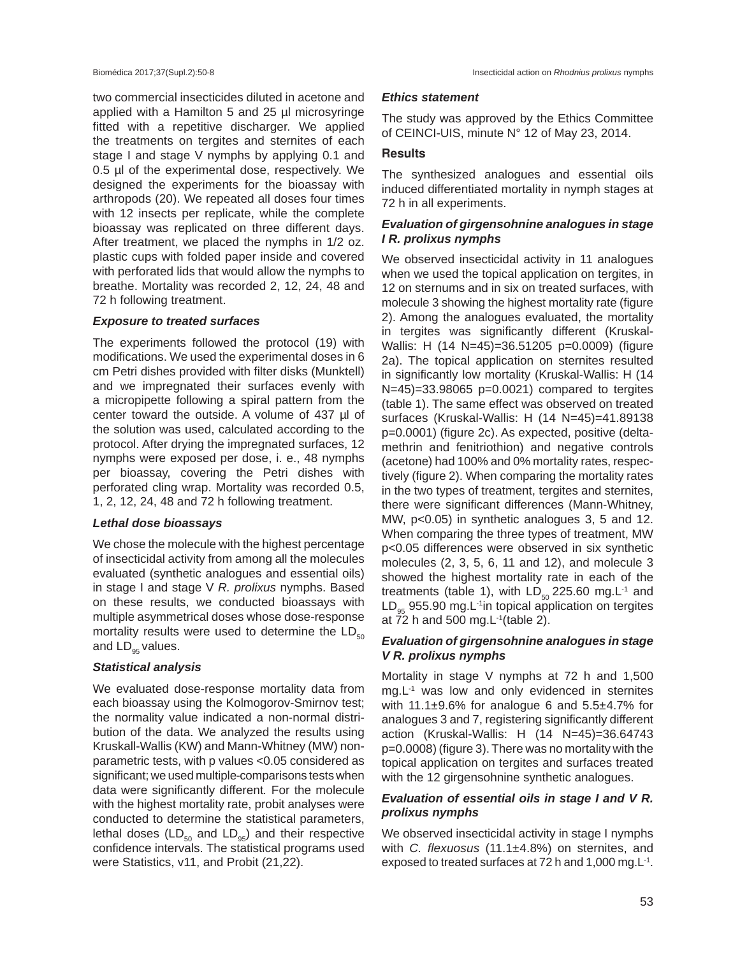two commercial insecticides diluted in acetone and applied with a Hamilton 5 and 25 µl microsyringe fitted with a repetitive discharger. We applied the treatments on tergites and sternites of each stage I and stage V nymphs by applying 0.1 and 0.5 µl of the experimental dose, respectively. We designed the experiments for the bioassay with arthropods (20). We repeated all doses four times with 12 insects per replicate, while the complete bioassay was replicated on three different days. After treatment, we placed the nymphs in 1/2 oz. plastic cups with folded paper inside and covered with perforated lids that would allow the nymphs to breathe. Mortality was recorded 2, 12, 24, 48 and 72 h following treatment.

## *Exposure to treated surfaces*

The experiments followed the protocol (19) with modifications. We used the experimental doses in 6 cm Petri dishes provided with filter disks (Munktell) and we impregnated their surfaces evenly with a micropipette following a spiral pattern from the center toward the outside. A volume of 437 µl of the solution was used, calculated according to the protocol. After drying the impregnated surfaces, 12 nymphs were exposed per dose, i. e., 48 nymphs per bioassay, covering the Petri dishes with perforated cling wrap. Mortality was recorded 0.5, 1, 2, 12, 24, 48 and 72 h following treatment.

#### *Lethal dose bioassays*

We chose the molecule with the highest percentage of insecticidal activity from among all the molecules evaluated (synthetic analogues and essential oils) in stage I and stage V *R. prolixus* nymphs. Based on these results, we conducted bioassays with multiple asymmetrical doses whose dose-response mortality results were used to determine the  $LD_{50}$ and  $LD_{95}$  values.

# *Statistical analysis*

We evaluated dose-response mortality data from each bioassay using the Kolmogorov-Smirnov test; the normality value indicated a non-normal distribution of the data. We analyzed the results using Kruskall-Wallis (KW) and Mann-Whitney (MW) nonparametric tests, with p values <0.05 considered as significant; we used multiple-comparisons tests when data were significantly different*.* For the molecule with the highest mortality rate, probit analyses were conducted to determine the statistical parameters, lethal doses ( $LD_{50}$  and  $LD_{95}$ ) and their respective confidence intervals. The statistical programs used were Statistics, v11, and Probit (21,22).

## *Ethics statement*

The study was approved by the Ethics Committee of CEINCI-UIS, minute N° 12 of May 23, 2014.

## **Results**

The synthesized analogues and essential oils induced differentiated mortality in nymph stages at 72 h in all experiments.

# *Evaluation of girgensohnine analogues in stage I R. prolixus nymphs*

We observed insecticidal activity in 11 analogues when we used the topical application on tergites, in 12 on sternums and in six on treated surfaces, with molecule 3 showing the highest mortality rate (figure 2). Among the analogues evaluated, the mortality in tergites was significantly different (Kruskal-Wallis: H (14 N=45)=36.51205 p=0.0009) (figure 2a). The topical application on sternites resulted in significantly low mortality (Kruskal-Wallis: H (14 N=45)=33.98065 p=0.0021) compared to tergites (table 1). The same effect was observed on treated surfaces (Kruskal-Wallis: H (14 N=45)=41.89138 p=0.0001) (figure 2c). As expected, positive (deltamethrin and fenitriothion) and negative controls (acetone) had 100% and 0% mortality rates, respectively (figure 2). When comparing the mortality rates in the two types of treatment, tergites and sternites, there were significant differences (Mann-Whitney, MW, p<0.05) in synthetic analogues 3, 5 and 12. When comparing the three types of treatment, MW p<0.05 differences were observed in six synthetic molecules (2, 3, 5, 6, 11 and 12), and molecule 3 showed the highest mortality rate in each of the treatments (table 1), with  $LD_{50}$  225.60 mg.L<sup>-1</sup> and  $LD_{95}$  955.90 mg.L<sup>-1</sup>in topical application on tergites at 72 h and 500 mg.L<sup>-1</sup>(table 2).

# *Evaluation of girgensohnine analogues in stage V R. prolixus nymphs*

Mortality in stage V nymphs at 72 h and 1,500  $mg.L^{-1}$  was low and only evidenced in sternites with  $11.1\pm9.6\%$  for analogue 6 and  $5.5\pm4.7\%$  for analogues 3 and 7, registering significantly different action (Kruskal-Wallis: H (14 N=45)=36.64743 p=0.0008) (figure 3). There was no mortality with the topical application on tergites and surfaces treated with the 12 girgensohnine synthetic analogues.

# *Evaluation of essential oils in stage I and V R. prolixus nymphs*

We observed insecticidal activity in stage I nymphs with *C. flexuosus* (11.1±4.8%) on sternites, and exposed to treated surfaces at 72 h and 1,000 mg.L-1.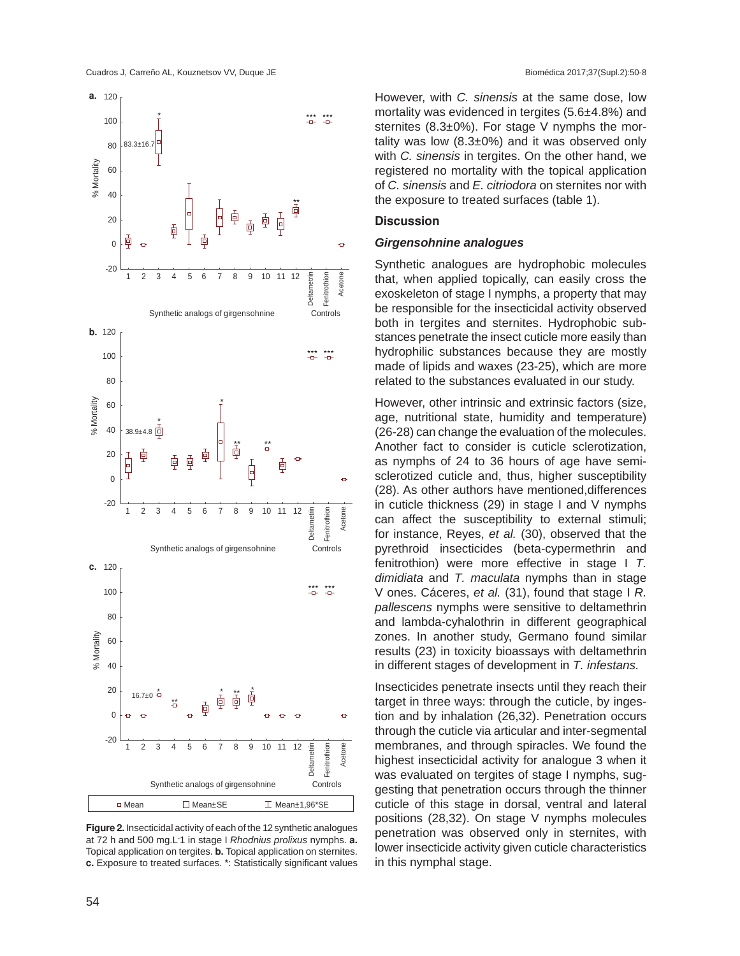



**Figure 2.** Insecticidal activity of each of the 12 synthetic analogues at 72 h and 500 mg.L-1 in stage I *Rhodnius prolixus* nymphs. **a.** Topical application on tergites. **b.** Topical application on sternites. **c.** Exposure to treated surfaces. \*: Statistically significant values

However, with *C. sinensis* at the same dose, low mortality was evidenced in tergites (5.6±4.8%) and sternites (8.3±0%). For stage V nymphs the mortality was low  $(8.3\pm0\%)$  and it was observed only with *C. sinensis* in tergites. On the other hand, we registered no mortality with the topical application of *C. sinensis* and *E. citriodora* on sternites nor with the exposure to treated surfaces (table 1).

#### **Discussion**

#### *Girgensohnine analogues*

Synthetic analogues are hydrophobic molecules that, when applied topically, can easily cross the exoskeleton of stage I nymphs, a property that may be responsible for the insecticidal activity observed both in tergites and sternites. Hydrophobic substances penetrate the insect cuticle more easily than hydrophilic substances because they are mostly made of lipids and waxes (23-25), which are more related to the substances evaluated in our study.

However, other intrinsic and extrinsic factors (size, age, nutritional state, humidity and temperature) (26-28) can change the evaluation of the molecules. Another fact to consider is cuticle sclerotization, as nymphs of 24 to 36 hours of age have semisclerotized cuticle and, thus, higher susceptibility (28). As other authors have mentioned,differences in cuticle thickness (29) in stage I and V nymphs can affect the susceptibility to external stimuli; for instance, Reyes, *et al.* (30), observed that the pyrethroid insecticides (beta-cypermethrin and fenitrothion) were more effective in stage I *T. dimidiata* and *T. maculata* nymphs than in stage V ones. Cáceres, *et al.* (31), found that stage I *R. pallescens* nymphs were sensitive to deltamethrin and lambda-cyhalothrin in different geographical zones. In another study, Germano found similar results (23) in toxicity bioassays with deltamethrin in different stages of development in *T. infestans.*

Insecticides penetrate insects until they reach their target in three ways: through the cuticle, by ingestion and by inhalation (26,32). Penetration occurs through the cuticle via articular and inter-segmental membranes, and through spiracles. We found the highest insecticidal activity for analogue 3 when it was evaluated on tergites of stage I nymphs, suggesting that penetration occurs through the thinner cuticle of this stage in dorsal, ventral and lateral positions (28,32). On stage V nymphs molecules penetration was observed only in sternites, with lower insecticide activity given cuticle characteristics in this nymphal stage.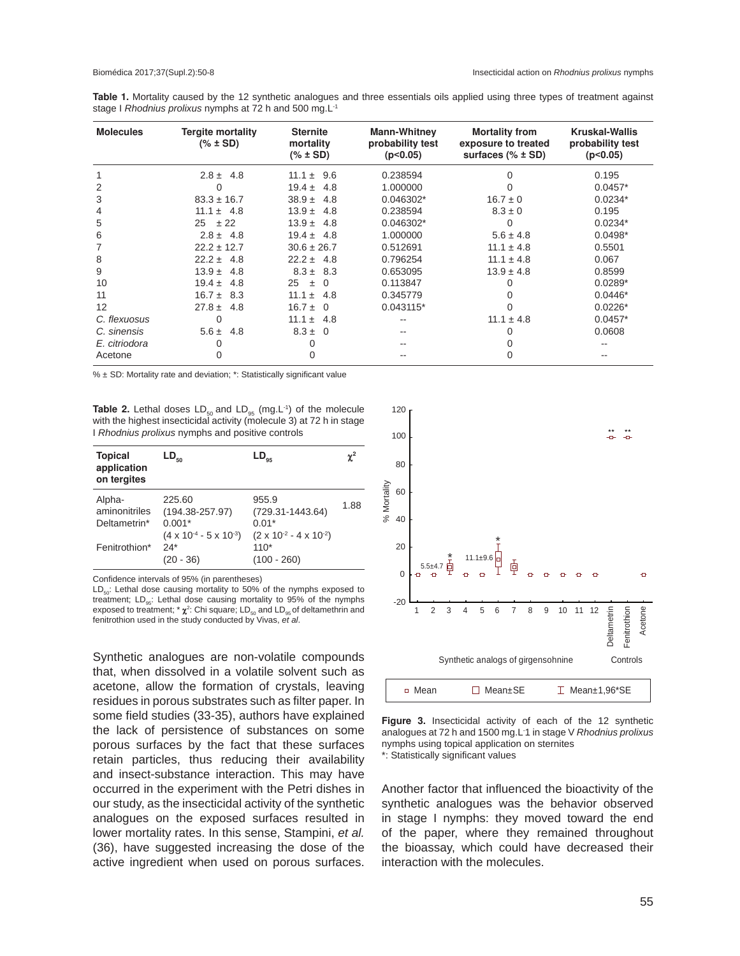**Table 1.** Mortality caused by the 12 synthetic analogues and three essentials oils applied using three types of treatment against stage I *Rhodnius prolixus* nymphs at 72 h and 500 mg.L-1

| <b>Molecules</b> | <b>Tergite mortality</b><br>$(\% \pm SD)$ | <b>Sternite</b><br>mortality<br>$(\% \pm SD)$ | <b>Mann-Whitney</b><br>probability test<br>(p<0.05) | <b>Mortality from</b><br>exposure to treated<br>surfaces $(%$ $\frac{1}{2}$ $\frac{1}{2}$ SD) | <b>Kruskal-Wallis</b><br>probability test<br>(p<0.05) |
|------------------|-------------------------------------------|-----------------------------------------------|-----------------------------------------------------|-----------------------------------------------------------------------------------------------|-------------------------------------------------------|
|                  | $2.8 \pm 4.8$                             | 9.6<br>$11.1 \pm$                             | 0.238594                                            |                                                                                               | 0.195                                                 |
| 2                | $\Omega$                                  | $19.4 \pm$<br>4.8                             | 1.000000                                            |                                                                                               | $0.0457*$                                             |
| 3                | $83.3 \pm 16.7$                           | $38.9 +$<br>4.8                               | $0.046302*$                                         | $16.7 \pm 0$                                                                                  | $0.0234*$                                             |
| 4                | $11.1 \pm 4.8$                            | $13.9 +$<br>4.8                               | 0.238594                                            | $8.3 \pm 0$                                                                                   | 0.195                                                 |
| 5                | ± 22<br>25                                | $13.9 +$<br>4.8                               | $0.046302*$                                         | O                                                                                             | $0.0234*$                                             |
| 6                | $2.8 \pm 4.8$                             | $19.4 \pm$<br>-4.8                            | 1.000000                                            | $5.6 \pm 4.8$                                                                                 | $0.0498*$                                             |
|                  | $22.2 \pm 12.7$                           | $30.6 \pm 26.7$                               | 0.512691                                            | $11.1 \pm 4.8$                                                                                | 0.5501                                                |
| 8                | $22.2 \pm 4.8$                            | $22.2 \pm 4.8$                                | 0.796254                                            | $11.1 \pm 4.8$                                                                                | 0.067                                                 |
| 9                | $13.9 +$<br>4.8                           | $8.3 \pm 8.3$                                 | 0.653095                                            | $13.9 \pm 4.8$                                                                                | 0.8599                                                |
| 10               | $19.4 \pm$<br>4.8                         | 25<br>$\Omega$<br>$\pm$                       | 0.113847                                            |                                                                                               | $0.0289*$                                             |
| 11               | $16.7 \pm 8.3$                            | 11.1 $\pm$<br>4.8                             | 0.345779                                            | O                                                                                             | $0.0446*$                                             |
| 12               | $27.8 \pm$<br>4.8                         | $16.7 \pm$<br>- 0                             | 0.043115*                                           |                                                                                               | $0.0226*$                                             |
| C. flexuosus     | $\Omega$                                  | 11.1 $\pm$<br>4.8                             | $- -$                                               | $11.1 \pm 4.8$                                                                                | $0.0457*$                                             |
| C. sinensis      | $5.6 \pm$<br>4.8                          | $8.3 \pm 0$                                   |                                                     | 0                                                                                             | 0.0608                                                |
| E. citriodora    | 0                                         |                                               |                                                     |                                                                                               |                                                       |
| Acetone          | $\Omega$                                  | 0                                             |                                                     | 0                                                                                             |                                                       |

% ± SD: Mortality rate and deviation; \*: Statistically significant value

**Table 2.** Lethal doses LD<sub>50</sub> and LD<sub>95</sub> (mg.L<sup>-1</sup>) of the molecule with the highest insecticidal activity (molecule 3) at 72 h in stage I *Rhodnius prolixus* nymphs and positive controls

| <b>Topical</b><br>application<br>on tergites | $LD_{50}$                                                                            | $LD_{os}$                                                                         | $\chi^2$ |
|----------------------------------------------|--------------------------------------------------------------------------------------|-----------------------------------------------------------------------------------|----------|
| Alpha-<br>aminonitriles<br>Deltametrin*      | 225.60<br>$(194.38 - 257.97)$<br>$0.001*$<br>$(4 \times 10^{-4} - 5 \times 10^{-3})$ | 955.9<br>$(729.31 - 1443.64)$<br>$0.01*$<br>$(2 \times 10^{2} - 4 \times 10^{2})$ | 1.88     |
| Fenitrothion*                                | $24*$<br>- 36)                                                                       | $110*$<br>$(100 - 260)$                                                           |          |

Confidence intervals of 95% (in parentheses)

 $LD_{50}$ : Lethal dose causing mortality to 50% of the nymphs exposed to treatment;  $LD_{.05}$ : Lethal dose causing mortality to 95% of the nymphs exposed to treatment;  $*\chi^2$ : Chi square; LD<sub>50</sub> and LD<sub>95</sub> of deltamethrin and fenitrothion used in the study conducted by Vivas, *et al*.

Synthetic analogues are non-volatile compounds that, when dissolved in a volatile solvent such as acetone, allow the formation of crystals, leaving residues in porous substrates such as filter paper. In some field studies (33-35), authors have explained the lack of persistence of substances on some porous surfaces by the fact that these surfaces retain particles, thus reducing their availability and insect-substance interaction. This may have occurred in the experiment with the Petri dishes in our study, as the insecticidal activity of the synthetic analogues on the exposed surfaces resulted in lower mortality rates. In this sense, Stampini, *et al.* (36), have suggested increasing the dose of the active ingredient when used on porous surfaces.



**Figure 3.** Insecticidal activity of each of the 12 synthetic analogues at 72 h and 1500 mg.L-1 in stage V *Rhodnius prolixus*  nymphs using topical application on sternites \*: Statistically significant values

Another factor that influenced the bioactivity of the synthetic analogues was the behavior observed in stage I nymphs: they moved toward the end of the paper, where they remained throughout the bioassay, which could have decreased their interaction with the molecules.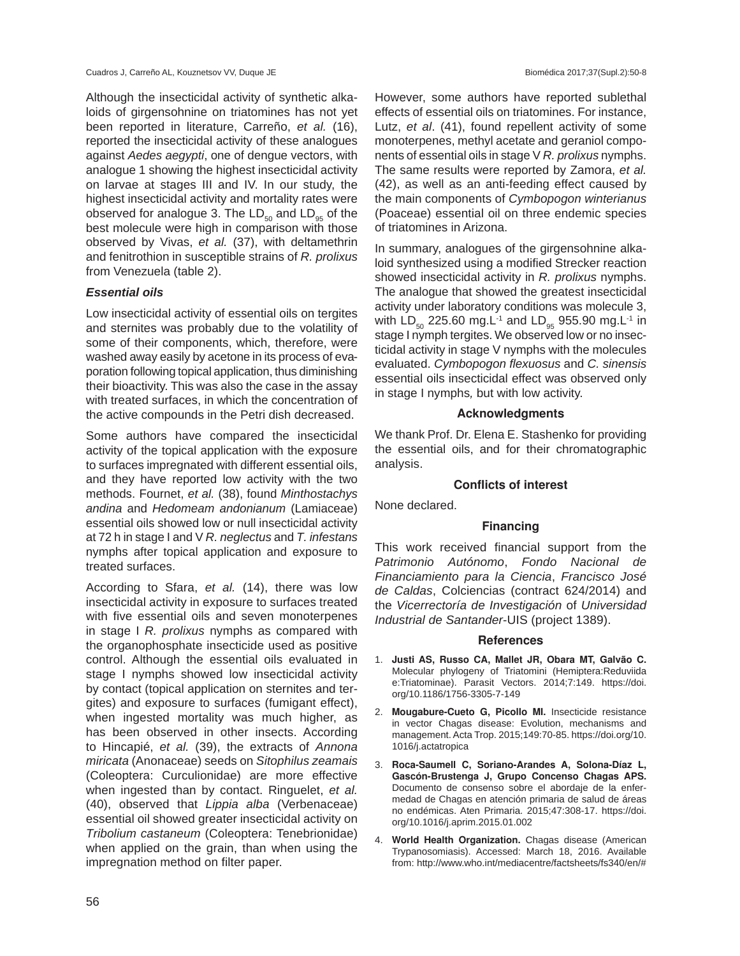Although the insecticidal activity of synthetic alkaloids of girgensohnine on triatomines has not yet been reported in literature, Carreño, *et al.* (16), reported the insecticidal activity of these analogues against *Aedes aegypti*, one of dengue vectors, with analogue 1 showing the highest insecticidal activity on larvae at stages III and IV. In our study, the highest insecticidal activity and mortality rates were observed for analogue 3. The  $LD_{50}$  and  $LD_{95}$  of the best molecule were high in comparison with those observed by Vivas, *et al.* (37), with deltamethrin and fenitrothion in susceptible strains of *R. prolixus*  from Venezuela (table 2).

## *Essential oils*

Low insecticidal activity of essential oils on tergites and sternites was probably due to the volatility of some of their components, which, therefore, were washed away easily by acetone in its process of evaporation following topical application, thus diminishing their bioactivity. This was also the case in the assay with treated surfaces, in which the concentration of the active compounds in the Petri dish decreased.

Some authors have compared the insecticidal activity of the topical application with the exposure to surfaces impregnated with different essential oils, and they have reported low activity with the two methods. Fournet, *et al.* (38), found *Minthostachys andina* and *Hedomeam andonianum* (Lamiaceae) essential oils showed low or null insecticidal activity at 72 h in stage I and V *R. neglectus* and *T. infestans*  nymphs after topical application and exposure to treated surfaces.

According to Sfara, *et al.* (14), there was low insecticidal activity in exposure to surfaces treated with five essential oils and seven monoterpenes in stage I *R. prolixus* nymphs as compared with the organophosphate insecticide used as positive control. Although the essential oils evaluated in stage I nymphs showed low insecticidal activity by contact (topical application on sternites and tergites) and exposure to surfaces (fumigant effect), when ingested mortality was much higher, as has been observed in other insects. According to Hincapié, *et al.* (39), the extracts of *Annona miricata* (Anonaceae) seeds on *Sitophilus zeamais* (Coleoptera: Curculionidae) are more effective when ingested than by contact. Ringuelet, *et al.* (40), observed that *Lippia alba* (Verbenaceae) essential oil showed greater insecticidal activity on *Tribolium castaneum* (Coleoptera: Tenebrionidae) when applied on the grain, than when using the impregnation method on filter paper.

However, some authors have reported sublethal effects of essential oils on triatomines. For instance, Lutz, *et al*. (41), found repellent activity of some monoterpenes, methyl acetate and geraniol components of essential oils in stage V *R. prolixus* nymphs. The same results were reported by Zamora, *et al.*  (42), as well as an anti-feeding effect caused by the main components of *Cymbopogon winterianus*  (Poaceae) essential oil on three endemic species of triatomines in Arizona.

In summary, analogues of the girgensohnine alkaloid synthesized using a modified Strecker reaction showed insecticidal activity in *R. prolixus* nymphs. The analogue that showed the greatest insecticidal activity under laboratory conditions was molecule 3, with  $LD_{50}$  225.60 mg.L<sup>-1</sup> and  $LD_{95}$  955.90 mg.L<sup>-1</sup> in stage I nymph tergites. We observed low or no insecticidal activity in stage V nymphs with the molecules evaluated. *Cymbopogon flexuosus* and *C. sinensis*  essential oils insecticidal effect was observed only in stage I nymphs*,* but with low activity.

## **Acknowledgments**

We thank Prof. Dr. Elena E. Stashenko for providing the essential oils, and for their chromatographic analysis.

# **Conflicts of interest**

None declared.

# **Financing**

This work received financial support from the *Patrimonio Autónomo*, *Fondo Nacional de Financiamiento para la Ciencia*, *Francisco José de Caldas*, Colciencias (contract 624/2014) and the *Vicerrectoría de Investigación* of *Universidad Industrial de Santander*-UIS (project 1389).

# **References**

- 1. **Justi AS, Russo CA, Mallet JR, Obara MT, Galvão C.** Molecular phylogeny of Triatomini (Hemiptera:Reduviida e:Triatominae). Parasit Vectors. 2014;7:149. https://doi. org/10.1186/1756-3305-7-149
- 2. **Mougabure-Cueto G, Picollo MI.** Insecticide resistance in vector Chagas disease: Evolution, mechanisms and management. Acta Trop. 2015;149:70-85. https://doi.org/10. 1016/j.actatropica
- 3. **Roca-Saumell C, Soriano-Arandes A, Solona-Díaz L, Gascón-Brustenga J, Grupo Concenso Chagas APS.**  Documento de consenso sobre el abordaje de la enfermedad de Chagas en atención primaria de salud de áreas no endémicas. Aten Primaria. 2015;47:308-17. https://doi. org/10.1016/j.aprim.2015.01.002
- 4. **World Health Organization.** Chagas disease (American Trypanosomiasis). Accessed: March 18, 2016. Available from: http://www.who.int/mediacentre/factsheets/fs340/en/#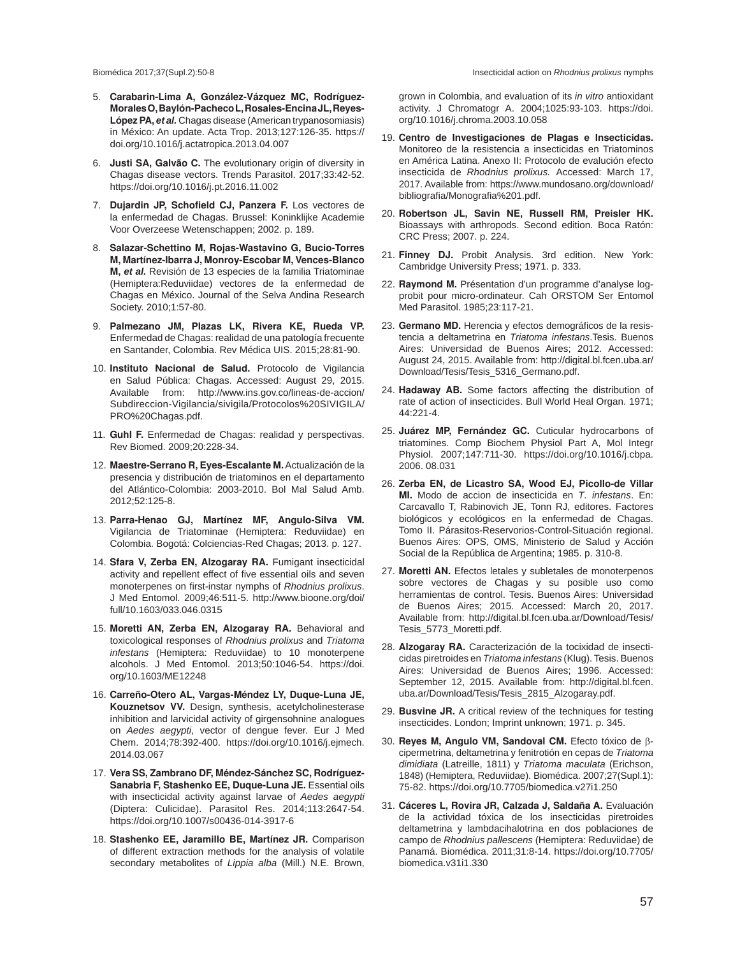- 5. **Carabarin-Lima A, González-Vázquez MC, Rodríguez-Morales O, Baylón-Pacheco L, Rosales-Encina JL, Reyes-López PA,** *et al.* Chagas disease (American trypanosomiasis) in México: An update. Acta Trop. 2013;127:126-35. https:// doi.org/10.1016/j.actatropica.2013.04.007
- 6. **Justi SA, Galvão C.** The evolutionary origin of diversity in Chagas disease vectors. Trends Parasitol. 2017;33:42-52. https://doi.org/10.1016/j.pt.2016.11.002
- 7. **Dujardin JP, Schofield CJ, Panzera F.** Los vectores de la enfermedad de Chagas. Brussel: Koninklijke Academie Voor Overzeese Wetenschappen; 2002. p. 189.
- 8. **Salazar-Schettino M, Rojas-Wastavino G, Bucio-Torres M, Martínez-Ibarra J, Monroy-Escobar M, Vences-Blanco M,** *et al.* Revisión de 13 especies de la familia Triatominae (Hemiptera:Reduviidae) vectores de la enfermedad de Chagas en México. Journal of the Selva Andina Research Society. 2010;1:57-80.
- 9. **Palmezano JM, Plazas LK, Rivera KE, Rueda VP.**  Enfermedad de Chagas: realidad de una patología frecuente en Santander, Colombia. Rev Médica UIS. 2015;28:81-90.
- 10. **Instituto Nacional de Salud.** Protocolo de Vigilancia en Salud Pública: Chagas. Accessed: August 29, 2015. Available from: http://www.ins.gov.co/lineas-de-accion/ Subdireccion-Vigilancia/sivigila/Protocolos%20SIVIGILA/ PRO%20Chagas.pdf.
- 11. **Guhl F.** Enfermedad de Chagas: realidad y perspectivas. Rev Biomed. 2009;20:228-34.
- 12. **Maestre-Serrano R, Eyes-Escalante M.** Actualización de la presencia y distribución de triatominos en el departamento del Atlántico-Colombia: 2003-2010. Bol Mal Salud Amb. 2012;52:125-8.
- 13. **Parra-Henao GJ, Martínez MF, Angulo-Silva VM.**  Vigilancia de Triatominae (Hemiptera: Reduviidae) en Colombia. Bogotá: Colciencias-Red Chagas; 2013. p. 127.
- 14. **Sfara V, Zerba EN, Alzogaray RA.** Fumigant insecticidal activity and repellent effect of five essential oils and seven monoterpenes on first-instar nymphs of *Rhodnius prolixus*. J Med Entomol. 2009;46:511-5. http://www.bioone.org/doi/ full/10.1603/033.046.0315
- 15. **Moretti AN, Zerba EN, Alzogaray RA.** Behavioral and toxicological responses of *Rhodnius prolixus* and *Triatoma infestans* (Hemiptera: Reduviidae) to 10 monoterpene alcohols. J Med Entomol. 2013;50:1046-54. https://doi. org/10.1603/ME12248
- 16. **Carreño-Otero AL, Vargas-Méndez LY, Duque-Luna JE, Kouznetsov VV.** Design, synthesis, acetylcholinesterase inhibition and larvicidal activity of girgensohnine analogues on *Aedes aegypti*, vector of dengue fever. Eur J Med Chem. 2014;78:392-400. https://doi.org/10.1016/j.ejmech. 2014.03.067
- 17. **Vera SS, Zambrano DF, Méndez-Sánchez SC, Rodríguez-Sanabria F, Stashenko EE, Duque-Luna JE, Essential oils** with insecticidal activity against larvae of *Aedes aegypti* (Diptera: Culicidae). Parasitol Res. 2014;113:2647-54. https://doi.org/10.1007/s00436-014-3917-6
- 18. **Stashenko EE, Jaramillo BE, Martínez JR.** Comparison of different extraction methods for the analysis of volatile secondary metabolites of *Lippia alba* (Mill.) N.E. Brown,

grown in Colombia, and evaluation of its *in vitro* antioxidant activity. J Chromatogr A. 2004;1025:93-103. https://doi. org/10.1016/j.chroma.2003.10.058

- 19. **Centro de Investigaciones de Plagas e Insecticidas.**  Monitoreo de la resistencia a insecticidas en Triatominos en América Latina. Anexo II: Protocolo de evalución efecto insecticida de *Rhodnius prolixus.* Accessed: March 17, 2017. Available from: https://www.mundosano.org/download/ bibliografia/Monografia%201.pdf.
- 20. **Robertson JL, Savin NE, Russell RM, Preisler HK.**  Bioassays with arthropods. Second edition. Boca Ratón: CRC Press; 2007. p. 224.
- 21. **Finney DJ.** Probit Analysis. 3rd edition. New York: Cambridge University Press; 1971. p. 333.
- 22. **Raymond M.** Présentation d'un programme d'analyse logprobit pour micro-ordinateur. Cah ORSTOM Ser Entomol Med Parasitol. 1985;23:117-21.
- 23. **Germano MD.** Herencia y efectos demográficos de la resistencia a deltametrina en *Triatoma infestans*.Tesis. Buenos Aires: Universidad de Buenos Aires; 2012. Accessed: August 24, 2015. Available from: http://digital.bl.fcen.uba.ar/ Download/Tesis/Tesis\_5316\_Germano.pdf.
- 24. **Hadaway AB.** Some factors affecting the distribution of rate of action of insecticides. Bull World Heal Organ. 1971; 44:221-4.
- 25. **Juárez MP, Fernández GC.** Cuticular hydrocarbons of triatomines. Comp Biochem Physiol Part A, Mol Integr Physiol. 2007;147:711-30. https://doi.org/10.1016/j.cbpa. 2006. 08.031
- 26. **Zerba EN, de Licastro SA, Wood EJ, Picollo-de Villar MI.** Modo de accion de insecticida en *T. infestans*. En: Carcavallo T, Rabinovich JE, Tonn RJ, editores. Factores biológicos y ecológicos en la enfermedad de Chagas. Tomo II. Párasitos-Reservorios-Control-Situación regional. Buenos Aires: OPS, OMS, Ministerio de Salud y Acción Social de la República de Argentina; 1985. p. 310-8.
- 27. **Moretti AN.** Efectos letales y subletales de monoterpenos sobre vectores de Chagas y su posible uso como herramientas de control. Tesis. Buenos Aires: Universidad de Buenos Aires; 2015. Accessed: March 20, 2017. Available from: http://digital.bl.fcen.uba.ar/Download/Tesis/ Tesis\_5773\_Moretti.pdf.
- 28. **Alzogaray RA.** Caracterización de la tocixidad de insecticidas piretroides en *Triatoma infestans* (Klug). Tesis. Buenos Aires: Universidad de Buenos Aires; 1996. Accessed: September 12, 2015. Available from: http://digital.bl.fcen. uba.ar/Download/Tesis/Tesis\_2815\_Alzogaray.pdf.
- 29. **Busvine JR.** A critical review of the techniques for testing insecticides. London; Imprint unknown; 1971. p. 345.
- 30. **Reyes M, Angulo VM, Sandoval CM.** Efecto tóxico de βcipermetrina, deltametrina y fenitrotión en cepas de *Triatoma dimidiata* (Latreille, 1811) y *Triatoma maculata* (Erichson, 1848) (Hemiptera, Reduviidae). Biomédica. 2007;27(Supl.1): 75-82. https://doi.org/10.7705/biomedica.v27i1.250
- 31. **Cáceres L, Rovira JR, Calzada J, Saldaña A.** Evaluación de la actividad tóxica de los insecticidas piretroides deltametrina y lambdacihalotrina en dos poblaciones de campo de *Rhodnius pallescens* (Hemiptera: Reduviidae) de Panamá. Biomédica. 2011;31:8-14. https://doi.org/10.7705/ biomedica.v31i1.330